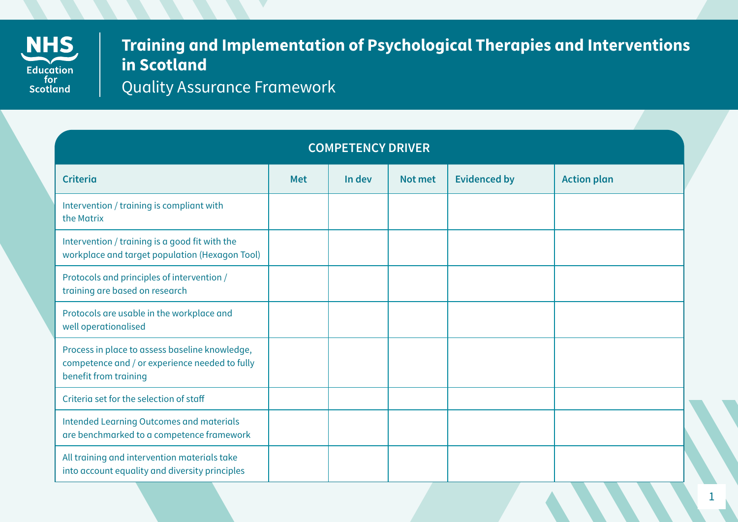

## **Training and Implementation of Psychological Therapies and Interventions in Scotland**

Quality Assurance Framework

| <b>COMPETENCY DRIVER</b>                                                                                                  |            |        |         |                     |                    |  |
|---------------------------------------------------------------------------------------------------------------------------|------------|--------|---------|---------------------|--------------------|--|
| <b>Criteria</b>                                                                                                           | <b>Met</b> | In dev | Not met | <b>Evidenced by</b> | <b>Action plan</b> |  |
| Intervention / training is compliant with<br>the Matrix                                                                   |            |        |         |                     |                    |  |
| Intervention / training is a good fit with the<br>workplace and target population (Hexagon Tool)                          |            |        |         |                     |                    |  |
| Protocols and principles of intervention /<br>training are based on research                                              |            |        |         |                     |                    |  |
| Protocols are usable in the workplace and<br>well operationalised                                                         |            |        |         |                     |                    |  |
| Process in place to assess baseline knowledge,<br>competence and / or experience needed to fully<br>benefit from training |            |        |         |                     |                    |  |
| Criteria set for the selection of staff                                                                                   |            |        |         |                     |                    |  |
| <b>Intended Learning Outcomes and materials</b><br>are benchmarked to a competence framework                              |            |        |         |                     |                    |  |
| All training and intervention materials take<br>into account equality and diversity principles                            |            |        |         |                     |                    |  |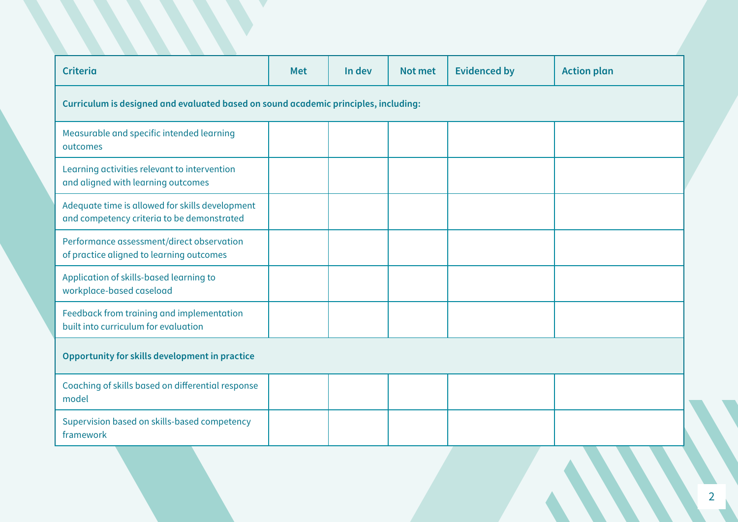| <b>Criteria</b>                                                                               | <b>Met</b> | In dev | Not met | <b>Evidenced by</b> | <b>Action plan</b> |  |
|-----------------------------------------------------------------------------------------------|------------|--------|---------|---------------------|--------------------|--|
| Curriculum is designed and evaluated based on sound academic principles, including:           |            |        |         |                     |                    |  |
| Measurable and specific intended learning<br>outcomes                                         |            |        |         |                     |                    |  |
| Learning activities relevant to intervention<br>and aligned with learning outcomes            |            |        |         |                     |                    |  |
| Adequate time is allowed for skills development<br>and competency criteria to be demonstrated |            |        |         |                     |                    |  |
| Performance assessment/direct observation<br>of practice aligned to learning outcomes         |            |        |         |                     |                    |  |
| Application of skills-based learning to<br>workplace-based caseload                           |            |        |         |                     |                    |  |
| Feedback from training and implementation<br>built into curriculum for evaluation             |            |        |         |                     |                    |  |
| Opportunity for skills development in practice                                                |            |        |         |                     |                    |  |
| Coaching of skills based on differential response<br>model                                    |            |        |         |                     |                    |  |
| Supervision based on skills-based competency<br>framework                                     |            |        |         |                     |                    |  |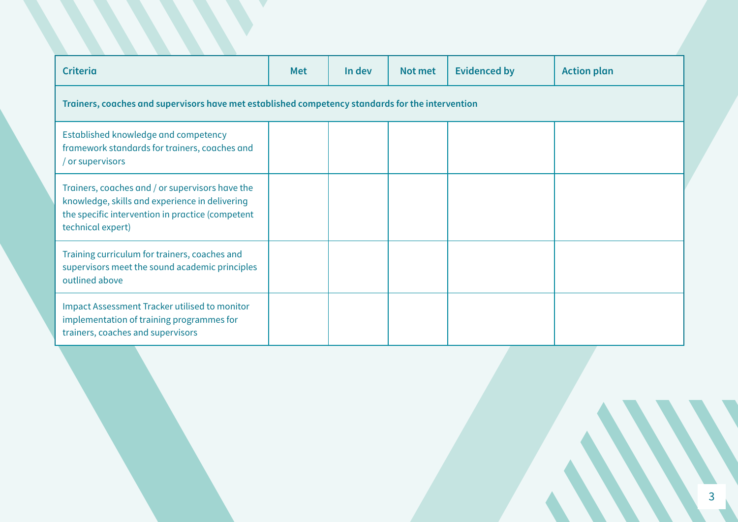| <b>Criteria</b>                                                                                                                                                            | <b>Met</b> | In dev | Not met | <b>Evidenced by</b> | <b>Action plan</b> |  |
|----------------------------------------------------------------------------------------------------------------------------------------------------------------------------|------------|--------|---------|---------------------|--------------------|--|
| Trainers, coaches and supervisors have met established competency standards for the intervention                                                                           |            |        |         |                     |                    |  |
| Established knowledge and competency<br>framework standards for trainers, coaches and<br>/ or supervisors                                                                  |            |        |         |                     |                    |  |
| Trainers, coaches and / or supervisors have the<br>knowledge, skills and experience in delivering<br>the specific intervention in practice (competent<br>technical expert) |            |        |         |                     |                    |  |
| Training curriculum for trainers, coaches and<br>supervisors meet the sound academic principles<br>outlined above                                                          |            |        |         |                     |                    |  |
| <b>Impact Assessment Tracker utilised to monitor</b><br>implementation of training programmes for<br>trainers, coaches and supervisors                                     |            |        |         |                     |                    |  |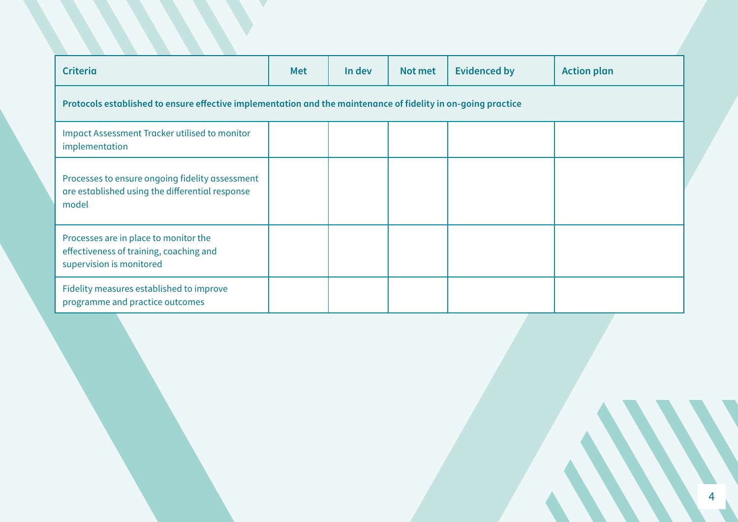| <b>Criteria</b>                                                                                               | <b>Met</b> | In dev | Not met | <b>Evidenced by</b> | <b>Action plan</b> |  |
|---------------------------------------------------------------------------------------------------------------|------------|--------|---------|---------------------|--------------------|--|
| Protocols established to ensure effective implementation and the maintenance of fidelity in on-going practice |            |        |         |                     |                    |  |
| <b>Impact Assessment Tracker utilised to monitor</b><br>implementation                                        |            |        |         |                     |                    |  |
| Processes to ensure ongoing fidelity assessment<br>are established using the differential response<br>model   |            |        |         |                     |                    |  |
| Processes are in place to monitor the<br>effectiveness of training, coaching and<br>supervision is monitored  |            |        |         |                     |                    |  |
| Fidelity measures established to improve<br>programme and practice outcomes                                   |            |        |         |                     |                    |  |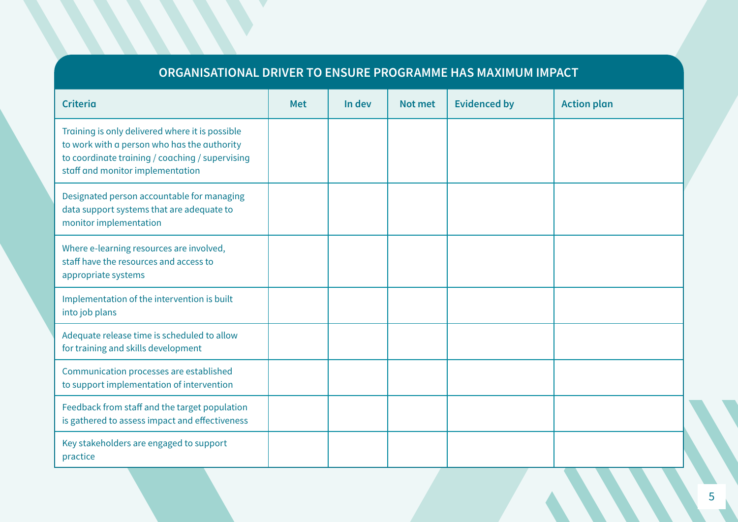## **ORGANISATIONAL DRIVER TO ENSURE PROGRAMME HAS MAXIMUM IMPACT**

| <b>Criteria</b>                                                                                                                                                                       | <b>Met</b> | In dev | Not met | <b>Evidenced by</b> | <b>Action plan</b> |
|---------------------------------------------------------------------------------------------------------------------------------------------------------------------------------------|------------|--------|---------|---------------------|--------------------|
| Training is only delivered where it is possible<br>to work with a person who has the authority<br>to coordinate training / coaching / supervising<br>staff and monitor implementation |            |        |         |                     |                    |
| Designated person accountable for managing<br>data support systems that are adequate to<br>monitor implementation                                                                     |            |        |         |                     |                    |
| Where e-learning resources are involved,<br>staff have the resources and access to<br>appropriate systems                                                                             |            |        |         |                     |                    |
| Implementation of the intervention is built<br>into job plans                                                                                                                         |            |        |         |                     |                    |
| Adequate release time is scheduled to allow<br>for training and skills development                                                                                                    |            |        |         |                     |                    |
| Communication processes are established<br>to support implementation of intervention                                                                                                  |            |        |         |                     |                    |
| Feedback from staff and the target population<br>is gathered to assess impact and effectiveness                                                                                       |            |        |         |                     |                    |
| Key stakeholders are engaged to support<br>practice                                                                                                                                   |            |        |         |                     |                    |